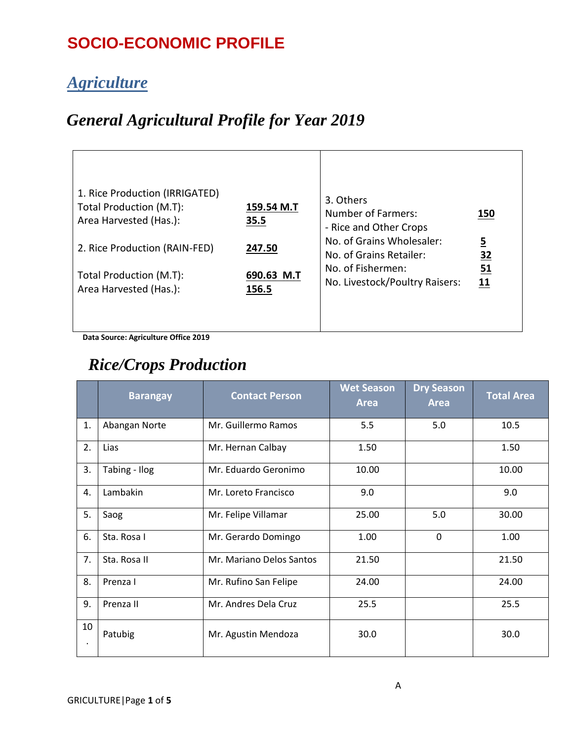### **SOCIO-ECONOMIC PROFILE**

#### *Agriculture*

#### *General Agricultural Profile for Year 2019*

| 1. Rice Production (IRRIGATED)<br>Total Production (M.T):<br>Area Harvested (Has.): | 159.54 M.T<br>35.5            | 3. Others<br>Number of Farmers:<br>- Rice and Other Crops<br>No. of Grains Wholesaler: | 150<br><u>5</u> |
|-------------------------------------------------------------------------------------|-------------------------------|----------------------------------------------------------------------------------------|-----------------|
| 2. Rice Production (RAIN-FED)<br>Total Production (M.T):<br>Area Harvested (Has.):  | 247.50<br>690.63 M.T<br>156.5 | No. of Grains Retailer:<br>No. of Fishermen:<br>No. Livestock/Poultry Raisers:         | 32<br>51<br>11  |
|                                                                                     |                               |                                                                                        |                 |

**Data Source: Agriculture Office 2019**

#### *Rice/Crops Production*

|    | <b>Barangay</b> | <b>Contact Person</b>    | <b>Wet Season</b><br><b>Area</b> | <b>Dry Season</b><br><b>Area</b> | <b>Total Area</b> |
|----|-----------------|--------------------------|----------------------------------|----------------------------------|-------------------|
| 1. | Abangan Norte   | Mr. Guillermo Ramos      | 5.5                              | 5.0                              | 10.5              |
| 2. | Lias            | Mr. Hernan Calbay        | 1.50                             |                                  | 1.50              |
| 3. | Tabing - Ilog   | Mr. Eduardo Geronimo     | 10.00                            |                                  | 10.00             |
| 4. | Lambakin        | Mr. Loreto Francisco     | 9.0                              |                                  | 9.0               |
| 5. | Saog            | Mr. Felipe Villamar      | 25.00                            | 5.0                              | 30.00             |
| 6. | Sta. Rosa I     | Mr. Gerardo Domingo      | 1.00                             | $\mathbf 0$                      | 1.00              |
| 7. | Sta. Rosa II    | Mr. Mariano Delos Santos | 21.50                            |                                  | 21.50             |
| 8. | Prenza I        | Mr. Rufino San Felipe    | 24.00                            |                                  | 24.00             |
| 9. | Prenza II       | Mr. Andres Dela Cruz     | 25.5                             |                                  | 25.5              |
| 10 | Patubig         | Mr. Agustin Mendoza      | 30.0                             |                                  | 30.0              |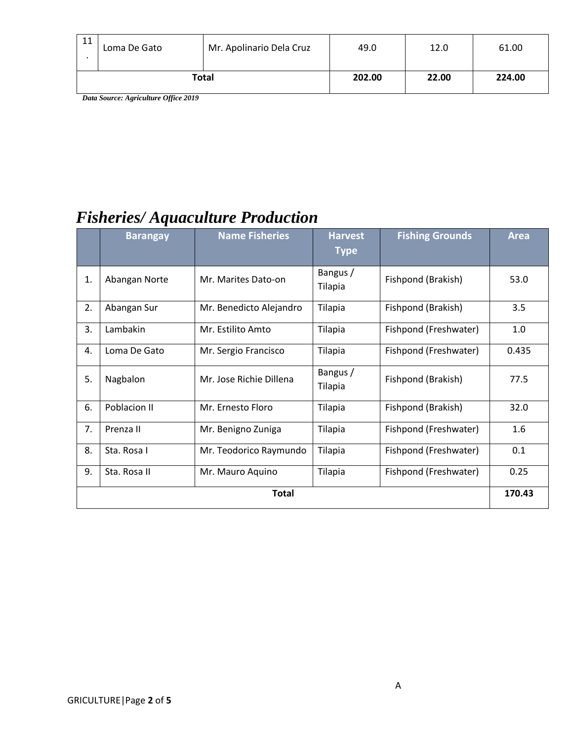| 11    | Loma De Gato | Mr. Apolinario Dela Cruz | 49.0  | 12.0   | 61.00 |
|-------|--------------|--------------------------|-------|--------|-------|
| Total |              | 202.00                   | 22.00 | 224.00 |       |

 *Data Source: Agriculture Office 2019*

### *Fisheries/ Aquaculture Production*

|              | <b>Barangay</b> | <b>Name Fisheries</b>   | <b>Harvest</b><br><b>Type</b> | <b>Fishing Grounds</b> | <b>Area</b> |
|--------------|-----------------|-------------------------|-------------------------------|------------------------|-------------|
| 1.           | Abangan Norte   | Mr. Marites Dato-on     | Bangus /<br><b>Tilapia</b>    | Fishpond (Brakish)     | 53.0        |
| 2.           | Abangan Sur     | Mr. Benedicto Alejandro | Tilapia                       | Fishpond (Brakish)     | 3.5         |
| 3.           | Lambakin        | Mr. Estilito Amto       | Tilapia                       | Fishpond (Freshwater)  | 1.0         |
| 4.           | Loma De Gato    | Mr. Sergio Francisco    | Tilapia                       | Fishpond (Freshwater)  | 0.435       |
| 5.           | Nagbalon        | Mr. Jose Richie Dillena | Bangus /<br>Tilapia           | Fishpond (Brakish)     | 77.5        |
| 6.           | Poblacion II    | Mr. Ernesto Floro       | Tilapia                       | Fishpond (Brakish)     | 32.0        |
| 7.           | Prenza II       | Mr. Benigno Zuniga      | Tilapia                       | Fishpond (Freshwater)  | 1.6         |
| 8.           | Sta. Rosa I     | Mr. Teodorico Raymundo  | Tilapia                       | Fishpond (Freshwater)  | 0.1         |
| 9.           | Sta. Rosa II    | Mr. Mauro Aquino        | Tilapia                       | Fishpond (Freshwater)  | 0.25        |
| <b>Total</b> |                 |                         |                               |                        | 170.43      |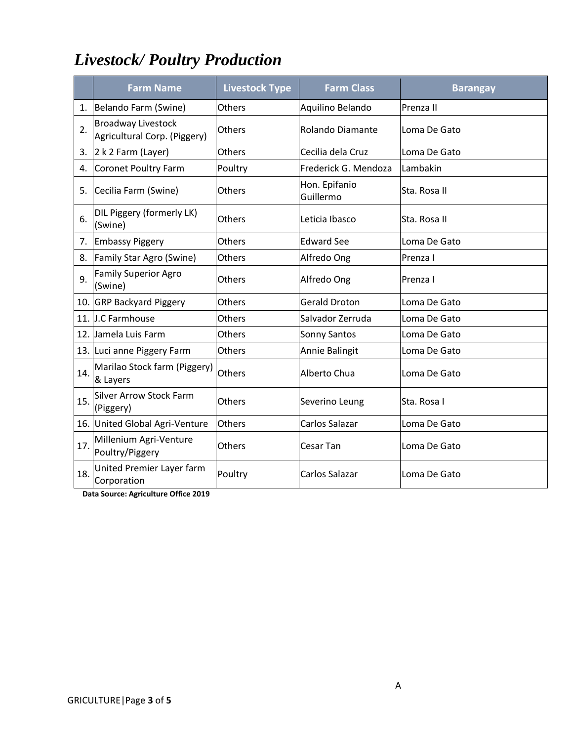# *Livestock/ Poultry Production*

|     | <b>Farm Name</b>                                           | <b>Livestock Type</b> | <b>Farm Class</b>          | <b>Barangay</b> |
|-----|------------------------------------------------------------|-----------------------|----------------------------|-----------------|
|     | 1. Belando Farm (Swine)                                    | Others                | Aquilino Belando           | Prenza II       |
| 2.  | <b>Broadway Livestock</b><br>Agricultural Corp. (Piggery)  | Others                | <b>Rolando Diamante</b>    | Loma De Gato    |
|     | 3. $ 2 k 2 Farm (Layer)$                                   | Others                | Cecilia dela Cruz          | Loma De Gato    |
| 4.  | Coronet Poultry Farm                                       | Poultry               | Frederick G. Mendoza       | Lambakin        |
| 5.  | Cecilia Farm (Swine)                                       | Others                | Hon. Epifanio<br>Guillermo | Sta. Rosa II    |
| 6.  | DIL Piggery (formerly LK)<br>(Swine)                       | Others                | Leticia Ibasco             | Sta. Rosa II    |
|     | 7. Embassy Piggery                                         | Others                | <b>Edward See</b>          | Loma De Gato    |
| 8.  | Family Star Agro (Swine)                                   | Others                | Alfredo Ong                | Prenza I        |
| 9.  | <b>Family Superior Agro</b><br>(Swine)                     | Others                | Alfredo Ong                | Prenza I        |
|     | 10. GRP Backyard Piggery                                   | Others                | <b>Gerald Droton</b>       | Loma De Gato    |
|     | 11. J.C Farmhouse                                          | Others                | Salvador Zerruda           | Loma De Gato    |
|     | 12. Jamela Luis Farm                                       | Others                | Sonny Santos               | Loma De Gato    |
|     | 13. Luci anne Piggery Farm                                 | Others                | Annie Balingit             | Loma De Gato    |
| 14. | Marilao Stock farm (Piggery)<br>& Layers                   | Others                | Alberto Chua               | Loma De Gato    |
| 15. | <b>Silver Arrow Stock Farm</b><br>(Piggery)                | Others                | Severino Leung             | Sta. Rosa I     |
|     | 16. United Global Agri-Venture                             | Others                | Carlos Salazar             | Loma De Gato    |
| 17. | Millenium Agri-Venture<br>Poultry/Piggery                  | Others                | Cesar Tan                  | Loma De Gato    |
| 18. | United Premier Layer farm<br>Corporation<br>$\overline{a}$ | Poultry               | Carlos Salazar             | Loma De Gato    |

 **Data Source: Agriculture Office 2019**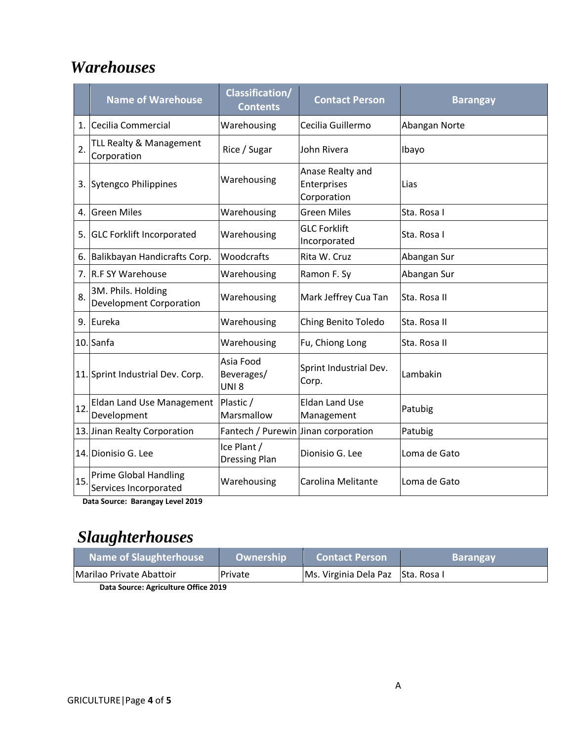#### *Warehouses*

|                  | <b>Name of Warehouse</b>                              | <b>Classification/</b><br><b>Contents</b>   | <b>Contact Person</b>                          | <b>Barangay</b> |  |
|------------------|-------------------------------------------------------|---------------------------------------------|------------------------------------------------|-----------------|--|
| 1.               | Cecilia Commercial                                    | Warehousing                                 | Cecilia Guillermo                              | Abangan Norte   |  |
| $\overline{2}$ . | <b>TLL Realty &amp; Management</b><br>Corporation     | Rice / Sugar                                | John Rivera                                    | Ibayo           |  |
|                  | 3. Sytengco Philippines                               | Warehousing                                 | Anase Realty and<br>Enterprises<br>Corporation | Lias            |  |
| 4.               | <b>Green Miles</b>                                    | Warehousing                                 | <b>Green Miles</b>                             | Sta. Rosa I     |  |
| 5.               | <b>GLC Forklift Incorporated</b>                      | Warehousing                                 | <b>GLC Forklift</b><br>Incorporated            | Sta. Rosa I     |  |
| 6.               | Balikbayan Handicrafts Corp.                          | Woodcrafts                                  | Rita W. Cruz                                   | Abangan Sur     |  |
| 7.               | <b>R.F SY Warehouse</b>                               | Warehousing                                 | Ramon F. Sy                                    | Abangan Sur     |  |
| 8.               | 3M. Phils. Holding<br><b>Development Corporation</b>  | Warehousing                                 | Mark Jeffrey Cua Tan                           | Sta. Rosa II    |  |
| 9.               | Eureka                                                | Warehousing                                 | Ching Benito Toledo                            | Sta. Rosa II    |  |
|                  | 10. Sanfa                                             | Warehousing                                 | Fu, Chiong Long                                | Sta. Rosa II    |  |
|                  | 11. Sprint Industrial Dev. Corp.                      | Asia Food<br>Beverages/<br>UNI <sub>8</sub> | Sprint Industrial Dev.<br>Corp.                | Lambakin        |  |
| 12               | Eldan Land Use Management<br>Development              | Plastic /<br>Marsmallow                     | <b>Eldan Land Use</b><br>Management            | Patubig         |  |
|                  | 13. Jinan Realty Corporation                          | Fantech / Purewin Jinan corporation         |                                                | Patubig         |  |
|                  | 14. Dionisio G. Lee                                   | Ice Plant /<br><b>Dressing Plan</b>         | Dionisio G. Lee                                | Loma de Gato    |  |
| 15               | <b>Prime Global Handling</b><br>Services Incorporated | Warehousing                                 | Carolina Melitante                             | Loma de Gato    |  |

 **Data Source: Barangay Level 2019**

## *Slaughterhouses*

| Name of Slaughterhouse           | Ownership <sup> </sup> | <b>Contact Person</b>             | <b>Barangay</b> |
|----------------------------------|------------------------|-----------------------------------|-----------------|
| <b>IMarilao Private Abattoir</b> | Private                | Ms. Virginia Dela Paz Sta. Rosa I |                 |
|                                  |                        |                                   |                 |

 **Data Source: Agriculture Office 2019**